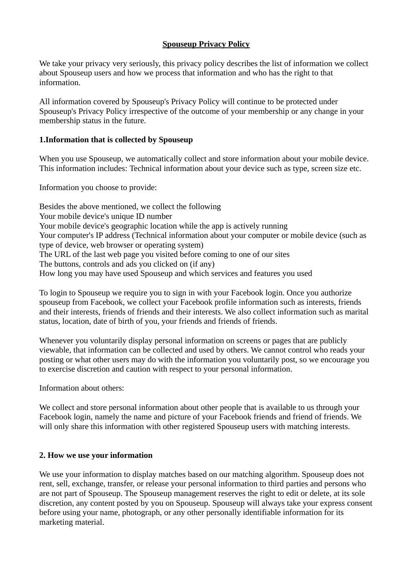# **Spouseup Privacy Policy**

We take your privacy very seriously, this privacy policy describes the list of information we collect about Spouseup users and how we process that information and who has the right to that information.

All information covered by Spouseup's Privacy Policy will continue to be protected under Spouseup's Privacy Policy irrespective of the outcome of your membership or any change in your membership status in the future.

# **1.Information that is collected by Spouseup**

When you use Spouseup, we automatically collect and store information about your mobile device. This information includes:
Technical information about your device such as type, screen size etc.

Information you choose to provide:

Besides the above mentioned, we collect the following Your mobile device's unique ID number Your mobile device's geographic location while the app is actively running Your computer's IP address (Technical information about your computer or mobile device (such as type of device, web browser or operating system) The URL of the last web page you visited before coming to one of our sites The buttons, controls and ads you clicked on (if any) How long you may have used Spouseup and which services and features you used

To login to Spouseup we require you to sign in with your Facebook login. Once you authorize spouseup from Facebook, we collect your Facebook profile information such as interests, friends and their interests, friends of friends and their interests. We also collect information such as marital status, location, date of birth of you, your friends and friends of friends.

Whenever you voluntarily display personal information on screens or pages that are publicly viewable, that information can be collected and used by others. We cannot control who reads your posting or what other users may do with the information you voluntarily post, so we encourage you to exercise discretion and caution with respect to your personal information.

Information about others:

We collect and store personal information about other people that is available to us through your Facebook login, namely the name and picture of your Facebook friends and friend of friends. We will only share this information with other registered Spouseup users with matching interests.

# **2. How we use your information**

We use your information to display matches based on our matching algorithm. Spouseup does not rent, sell, exchange, transfer, or release your personal information to third parties and persons who are not part of Spouseup. The Spouseup management reserves the right to edit or delete, at its sole discretion, any content posted by you on Spouseup. Spouseup will always take your express consent before using your name, photograph, or any other personally identifiable information for its marketing material.